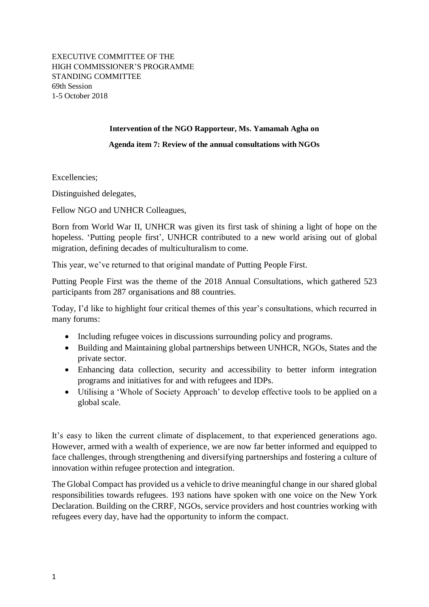EXECUTIVE COMMITTEE OF THE HIGH COMMISSIONER'S PROGRAMME STANDING COMMITTEE 69th Session 1-5 October 2018

## **Intervention of the NGO Rapporteur, Ms. Yamamah Agha on**

## **Agenda item 7: Review of the annual consultations with NGOs**

Excellencies;

Distinguished delegates,

Fellow NGO and UNHCR Colleagues,

Born from World War II, UNHCR was given its first task of shining a light of hope on the hopeless. 'Putting people first', UNHCR contributed to a new world arising out of global migration, defining decades of multiculturalism to come.

This year, we've returned to that original mandate of Putting People First.

Putting People First was the theme of the 2018 Annual Consultations, which gathered 523 participants from 287 organisations and 88 countries.

Today, I'd like to highlight four critical themes of this year's consultations, which recurred in many forums:

- Including refugee voices in discussions surrounding policy and programs.
- Building and Maintaining global partnerships between UNHCR, NGOs, States and the private sector.
- Enhancing data collection, security and accessibility to better inform integration programs and initiatives for and with refugees and IDPs.
- Utilising a 'Whole of Society Approach' to develop effective tools to be applied on a global scale.

It's easy to liken the current climate of displacement, to that experienced generations ago. However, armed with a wealth of experience, we are now far better informed and equipped to face challenges, through strengthening and diversifying partnerships and fostering a culture of innovation within refugee protection and integration.

The Global Compact has provided us a vehicle to drive meaningful change in our shared global responsibilities towards refugees. 193 nations have spoken with one voice on the New York Declaration. Building on the CRRF, NGOs, service providers and host countries working with refugees every day, have had the opportunity to inform the compact.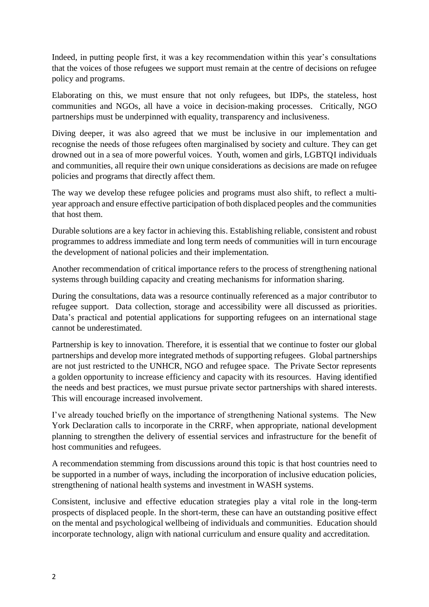Indeed, in putting people first, it was a key recommendation within this year's consultations that the voices of those refugees we support must remain at the centre of decisions on refugee policy and programs.

Elaborating on this, we must ensure that not only refugees, but IDPs, the stateless, host communities and NGOs, all have a voice in decision-making processes. Critically, NGO partnerships must be underpinned with equality, transparency and inclusiveness.

Diving deeper, it was also agreed that we must be inclusive in our implementation and recognise the needs of those refugees often marginalised by society and culture. They can get drowned out in a sea of more powerful voices. Youth, women and girls, LGBTQI individuals and communities, all require their own unique considerations as decisions are made on refugee policies and programs that directly affect them.

The way we develop these refugee policies and programs must also shift, to reflect a multiyear approach and ensure effective participation of both displaced peoples and the communities that host them.

Durable solutions are a key factor in achieving this. Establishing reliable, consistent and robust programmes to address immediate and long term needs of communities will in turn encourage the development of national policies and their implementation.

Another recommendation of critical importance refers to the process of strengthening national systems through building capacity and creating mechanisms for information sharing.

During the consultations, data was a resource continually referenced as a major contributor to refugee support. Data collection, storage and accessibility were all discussed as priorities. Data's practical and potential applications for supporting refugees on an international stage cannot be underestimated.

Partnership is key to innovation. Therefore, it is essential that we continue to foster our global partnerships and develop more integrated methods of supporting refugees. Global partnerships are not just restricted to the UNHCR, NGO and refugee space. The Private Sector represents a golden opportunity to increase efficiency and capacity with its resources. Having identified the needs and best practices, we must pursue private sector partnerships with shared interests. This will encourage increased involvement.

I've already touched briefly on the importance of strengthening National systems. The New York Declaration calls to incorporate in the CRRF, when appropriate, national development planning to strengthen the delivery of essential services and infrastructure for the benefit of host communities and refugees.

A recommendation stemming from discussions around this topic is that host countries need to be supported in a number of ways, including the incorporation of inclusive education policies, strengthening of national health systems and investment in WASH systems.

Consistent, inclusive and effective education strategies play a vital role in the long-term prospects of displaced people. In the short-term, these can have an outstanding positive effect on the mental and psychological wellbeing of individuals and communities. Education should incorporate technology, align with national curriculum and ensure quality and accreditation.